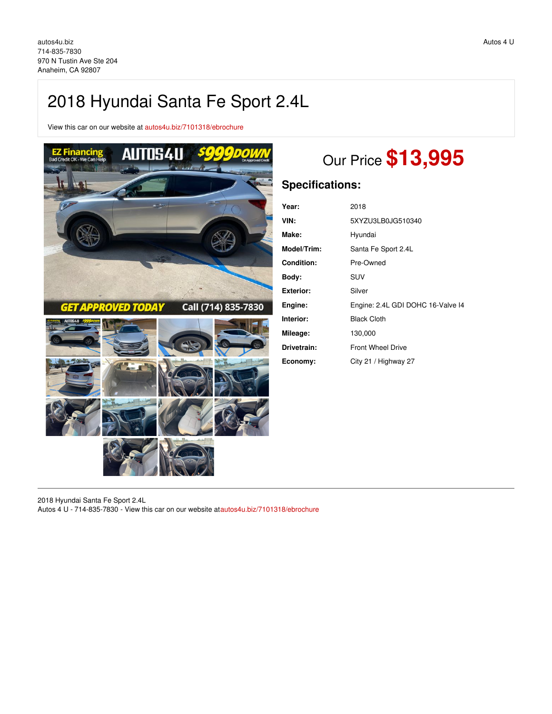# 2018 Hyundai Santa Fe Sport 2.4L

View this car on our website at [autos4u.biz/7101318/ebrochure](https://autos4u.biz/vehicle/7101318/2018-hyundai-santa-fe-sport-2-4l-anaheim-ca-92807/7101318/ebrochure)



# Our Price **\$13,995**

## **Specifications:**

| Year:            | 2018                              |
|------------------|-----------------------------------|
| VIN:             | 5XYZU3LB0JG510340                 |
| Make:            | Hyundai                           |
| Model/Trim:      | Santa Fe Sport 2.4L               |
| Condition:       | Pre-Owned                         |
| Body:            | SUV                               |
| <b>Exterior:</b> | Silver                            |
| Engine:          | Engine: 2.4L GDI DOHC 16-Valve I4 |
| Interior:        | <b>Black Cloth</b>                |
| Mileage:         | 130,000                           |
| Drivetrain:      | <b>Front Wheel Drive</b>          |
| Economy:         | City 21 / Highway 27              |

2018 Hyundai Santa Fe Sport 2.4L Autos 4 U - 714-835-7830 - View this car on our website a[tautos4u.biz/7101318/ebrochure](https://autos4u.biz/vehicle/7101318/2018-hyundai-santa-fe-sport-2-4l-anaheim-ca-92807/7101318/ebrochure)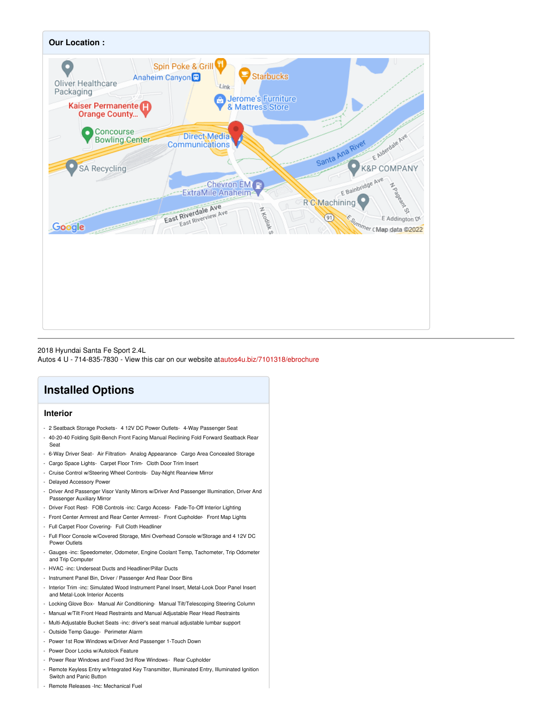

### 2018 Hyundai Santa Fe Sport 2.4L

Autos 4 U - 714-835-7830 - View this car on our website a[tautos4u.biz/7101318/ebrochure](https://autos4u.biz/vehicle/7101318/2018-hyundai-santa-fe-sport-2-4l-anaheim-ca-92807/7101318/ebrochure)

## **Installed Options**

## **Interior**

- 2 Seatback Storage Pockets- 4 12V DC Power Outlets- 4-Way Passenger Seat
- 40-20-40 Folding Split-Bench Front Facing Manual Reclining Fold Forward Seatback Rear Seat
- 6-Way Driver Seat- Air Filtration- Analog Appearance- Cargo Area Concealed Storage
- Cargo Space Lights- Carpet Floor Trim- Cloth Door Trim Insert
- Cruise Control w/Steering Wheel Controls- Day-Night Rearview Mirror
- Delayed Accessory Power
- Driver And Passenger Visor Vanity Mirrors w/Driver And Passenger Illumination, Driver And Passenger Auxiliary Mirror
- Driver Foot Rest- FOB Controls -inc: Cargo Access- Fade-To-Off Interior Lighting
- Front Center Armrest and Rear Center Armrest- Front Cupholder- Front Map Lights
- Full Carpet Floor Covering- Full Cloth Headliner
- Full Floor Console w/Covered Storage, Mini Overhead Console w/Storage and 4 12V DC Power Outlets
- Gauges -inc: Speedometer, Odometer, Engine Coolant Temp, Tachometer, Trip Odometer and Trip Computer
- HVAC -inc: Underseat Ducts and Headliner/Pillar Ducts
- Instrument Panel Bin, Driver / Passenger And Rear Door Bins
- Interior Trim -inc: Simulated Wood Instrument Panel Insert, Metal-Look Door Panel Insert and Metal-Look Interior Accents
- Locking Glove Box- Manual Air Conditioning- Manual Tilt/Telescoping Steering Column
- Manual w/Tilt Front Head Restraints and Manual Adjustable Rear Head Restraints
- Multi-Adjustable Bucket Seats -inc: driver's seat manual adjustable lumbar support
- Outside Temp Gauge- Perimeter Alarm
- Power 1st Row Windows w/Driver And Passenger 1-Touch Down
- Power Door Locks w/Autolock Feature
- Power Rear Windows and Fixed 3rd Row Windows- Rear Cupholder
- Remote Keyless Entry w/Integrated Key Transmitter, Illuminated Entry, Illuminated Ignition Switch and Panic Button
- Remote Releases -Inc: Mechanical Fuel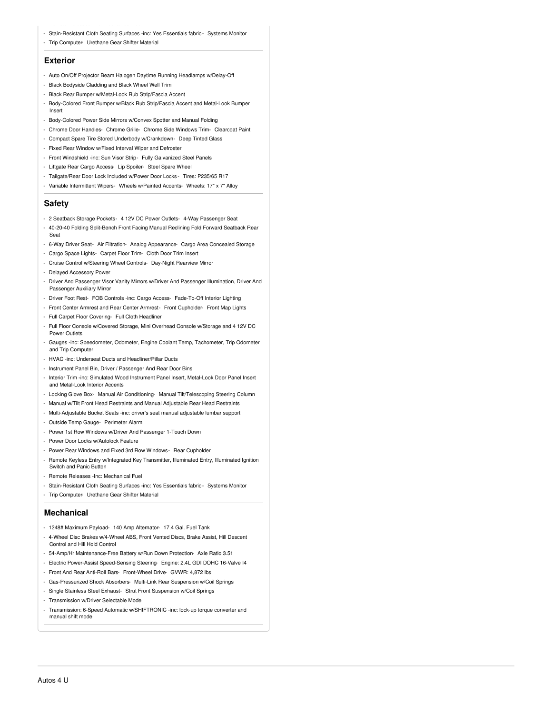- Stain-Resistant Cloth Seating Surfaces -inc: Yes Essentials fabric Systems Monitor
- Trip Computer- Urethane Gear Shifter Material

#### **Exterior**

- Auto On/Off Projector Beam Halogen Daytime Running Headlamps w/Delay-Off
- Black Bodyside Cladding and Black Wheel Well Trim
- Black Rear Bumper w/Metal-Look Rub Strip/Fascia Accent
- Body-Colored Front Bumper w/Black Rub Strip/Fascia Accent and Metal-Look Bumper Insert
- Body-Colored Power Side Mirrors w/Convex Spotter and Manual Folding
- Chrome Door Handles- Chrome Grille- Chrome Side Windows Trim- Clearcoat Paint
- Compact Spare Tire Stored Underbody w/Crankdown- Deep Tinted Glass
- Fixed Rear Window w/Fixed Interval Wiper and Defroster
- Front Windshield -inc: Sun Visor Strip- Fully Galvanized Steel Panels
- Liftgate Rear Cargo Access- Lip Spoiler- Steel Spare Wheel
- Tailgate/Rear Door Lock Included w/Power Door Locks Tires: P235/65 R17
- Variable Intermittent Wipers- Wheels w/Painted Accents- Wheels: 17" x 7" Alloy

### **Safety**

- 2 Seatback Storage Pockets- 4 12V DC Power Outlets- 4-Way Passenger Seat
- 40-20-40 Folding Split-Bench Front Facing Manual Reclining Fold Forward Seatback Rear Seat
- 6-Way Driver Seat- Air Filtration- Analog Appearance- Cargo Area Concealed Storage
- Cargo Space Lights- Carpet Floor Trim- Cloth Door Trim Insert
- Cruise Control w/Steering Wheel Controls- Day-Night Rearview Mirror
- Delayed Accessory Power
- Driver And Passenger Visor Vanity Mirrors w/Driver And Passenger Illumination, Driver And Passenger Auxiliary Mirror
- Driver Foot Rest- FOB Controls -inc: Cargo Access- Fade-To-Off Interior Lighting
- Front Center Armrest and Rear Center Armrest- Front Cupholder- Front Map Lights
- Full Carpet Floor Covering- Full Cloth Headliner
- Full Floor Console w/Covered Storage, Mini Overhead Console w/Storage and 4 12V DC Power Outlets
- Gauges -inc: Speedometer, Odometer, Engine Coolant Temp, Tachometer, Trip Odometer and Trip Computer
- HVAC -inc: Underseat Ducts and Headliner/Pillar Ducts
- Instrument Panel Bin, Driver / Passenger And Rear Door Bins
- Interior Trim -inc: Simulated Wood Instrument Panel Insert, Metal-Look Door Panel Insert and Metal-Look Interior Accents
- Locking Glove Box- Manual Air Conditioning- Manual Tilt/Telescoping Steering Column
- Manual w/Tilt Front Head Restraints and Manual Adjustable Rear Head Restraints
- Multi-Adjustable Bucket Seats -inc: driver's seat manual adjustable lumbar support
- Outside Temp Gauge- Perimeter Alarm
- Power 1st Row Windows w/Driver And Passenger 1-Touch Down
- Power Door Locks w/Autolock Feature
- Power Rear Windows and Fixed 3rd Row Windows- Rear Cupholder
- Remote Keyless Entry w/Integrated Key Transmitter, Illuminated Entry, Illuminated Ignition Switch and Panic Button
- Remote Releases -Inc: Mechanical Fuel
- Stain-Resistant Cloth Seating Surfaces -inc: Yes Essentials fabric Systems Monitor
- Trip Computer- Urethane Gear Shifter Material

#### **Mechanical**

- 1248# Maximum Payload- 140 Amp Alternator- 17.4 Gal. Fuel Tank
- 4-Wheel Disc Brakes w/4-Wheel ABS, Front Vented Discs, Brake Assist, Hill Descent Control and Hill Hold Control
- 54-Amp/Hr Maintenance-Free Battery w/Run Down Protection- Axle Ratio 3.51
- Electric Power-Assist Speed-Sensing Steering- Engine: 2.4L GDI DOHC 16-Valve I4
- Front And Rear Anti-Roll Bars- Front-Wheel Drive- GVWR: 4,872 lbs
- Gas-Pressurized Shock Absorbers- Multi-Link Rear Suspension w/Coil Springs
- Single Stainless Steel Exhaust- Strut Front Suspension w/Coil Springs
- Transmission w/Driver Selectable Mode
- Transmission: 6-Speed Automatic w/SHIFTRONIC -inc: lock-up torque converter and manual shift mode